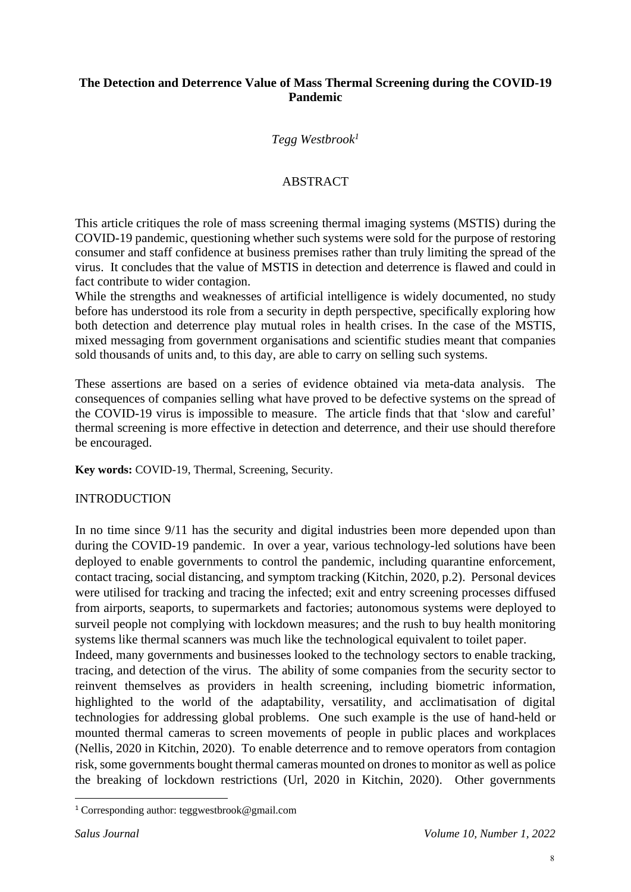### **The Detection and Deterrence Value of Mass Thermal Screening during the COVID-19 Pandemic**

## *Tegg Westbrook<sup>1</sup>*

## ABSTRACT

This article critiques the role of mass screening thermal imaging systems (MSTIS) during the COVID-19 pandemic, questioning whether such systems were sold for the purpose of restoring consumer and staff confidence at business premises rather than truly limiting the spread of the virus. It concludes that the value of MSTIS in detection and deterrence is flawed and could in fact contribute to wider contagion.

While the strengths and weaknesses of artificial intelligence is widely documented, no study before has understood its role from a security in depth perspective, specifically exploring how both detection and deterrence play mutual roles in health crises. In the case of the MSTIS, mixed messaging from government organisations and scientific studies meant that companies sold thousands of units and, to this day, are able to carry on selling such systems.

These assertions are based on a series of evidence obtained via meta-data analysis. The consequences of companies selling what have proved to be defective systems on the spread of the COVID-19 virus is impossible to measure. The article finds that that 'slow and careful' thermal screening is more effective in detection and deterrence, and their use should therefore be encouraged.

**Key words:** COVID-19, Thermal, Screening, Security.

### INTRODUCTION

In no time since 9/11 has the security and digital industries been more depended upon than during the COVID-19 pandemic. In over a year, various technology-led solutions have been deployed to enable governments to control the pandemic, including quarantine enforcement, contact tracing, social distancing, and symptom tracking (Kitchin, 2020, p.2). Personal devices were utilised for tracking and tracing the infected; exit and entry screening processes diffused from airports, seaports, to supermarkets and factories; autonomous systems were deployed to surveil people not complying with lockdown measures; and the rush to buy health monitoring systems like thermal scanners was much like the technological equivalent to toilet paper.

Indeed, many governments and businesses looked to the technology sectors to enable tracking, tracing, and detection of the virus. The ability of some companies from the security sector to reinvent themselves as providers in health screening, including biometric information, highlighted to the world of the adaptability, versatility, and acclimatisation of digital technologies for addressing global problems. One such example is the use of hand-held or mounted thermal cameras to screen movements of people in public places and workplaces (Nellis, 2020 in Kitchin, 2020). To enable deterrence and to remove operators from contagion risk, some governments bought thermal cameras mounted on drones to monitor as well as police the breaking of lockdown restrictions (Url, 2020 in Kitchin, 2020). Other governments

<sup>1</sup> Corresponding author: [teggwestbrook@gmail.com](mailto:teggwestbrook@gmail.com)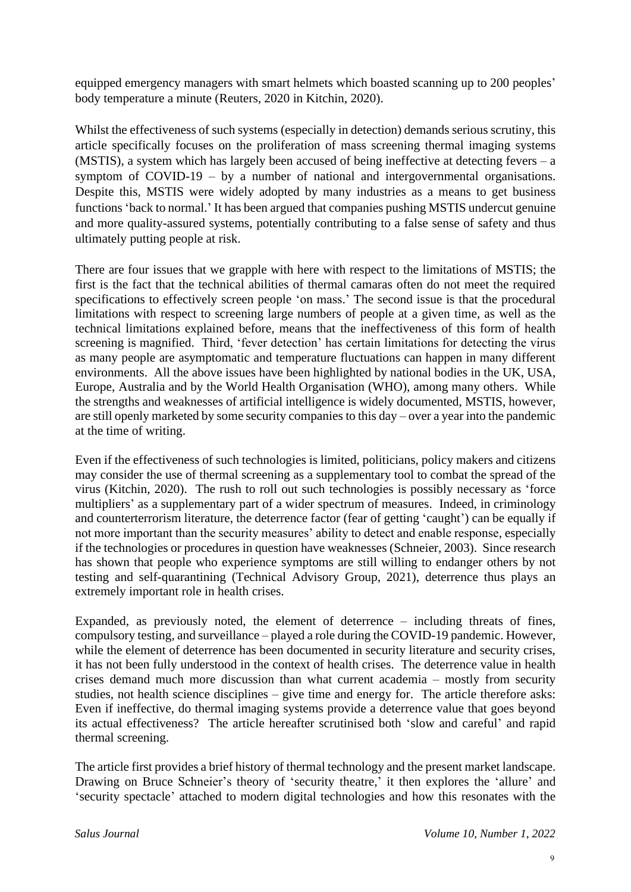equipped emergency managers with smart helmets which boasted scanning up to 200 peoples' body temperature a minute (Reuters, 2020 in Kitchin, 2020).

Whilst the effectiveness of such systems (especially in detection) demands serious scrutiny, this article specifically focuses on the proliferation of mass screening thermal imaging systems (MSTIS), a system which has largely been accused of being ineffective at detecting fevers – a symptom of COVID-19 – by a number of national and intergovernmental organisations. Despite this, MSTIS were widely adopted by many industries as a means to get business functions 'back to normal.' It has been argued that companies pushing MSTIS undercut genuine and more quality-assured systems, potentially contributing to a false sense of safety and thus ultimately putting people at risk.

There are four issues that we grapple with here with respect to the limitations of MSTIS; the first is the fact that the technical abilities of thermal camaras often do not meet the required specifications to effectively screen people 'on mass.' The second issue is that the procedural limitations with respect to screening large numbers of people at a given time, as well as the technical limitations explained before, means that the ineffectiveness of this form of health screening is magnified. Third, 'fever detection' has certain limitations for detecting the virus as many people are asymptomatic and temperature fluctuations can happen in many different environments. All the above issues have been highlighted by national bodies in the UK, USA, Europe, Australia and by the World Health Organisation (WHO), among many others. While the strengths and weaknesses of artificial intelligence is widely documented, MSTIS, however, are still openly marketed by some security companies to this day – over a year into the pandemic at the time of writing.

Even if the effectiveness of such technologies is limited, politicians, policy makers and citizens may consider the use of thermal screening as a supplementary tool to combat the spread of the virus (Kitchin, 2020). The rush to roll out such technologies is possibly necessary as 'force multipliers' as a supplementary part of a wider spectrum of measures. Indeed, in criminology and counterterrorism literature, the deterrence factor (fear of getting 'caught') can be equally if not more important than the security measures' ability to detect and enable response, especially if the technologies or procedures in question have weaknesses (Schneier, 2003). Since research has shown that people who experience symptoms are still willing to endanger others by not testing and self-quarantining (Technical Advisory Group, 2021), deterrence thus plays an extremely important role in health crises.

Expanded, as previously noted, the element of deterrence – including threats of fines, compulsory testing, and surveillance – played a role during the COVID-19 pandemic. However, while the element of deterrence has been documented in security literature and security crises, it has not been fully understood in the context of health crises. The deterrence value in health crises demand much more discussion than what current academia – mostly from security studies, not health science disciplines – give time and energy for. The article therefore asks: Even if ineffective, do thermal imaging systems provide a deterrence value that goes beyond its actual effectiveness? The article hereafter scrutinised both 'slow and careful' and rapid thermal screening.

The article first provides a brief history of thermal technology and the present market landscape. Drawing on Bruce Schneier's theory of 'security theatre,' it then explores the 'allure' and 'security spectacle' attached to modern digital technologies and how this resonates with the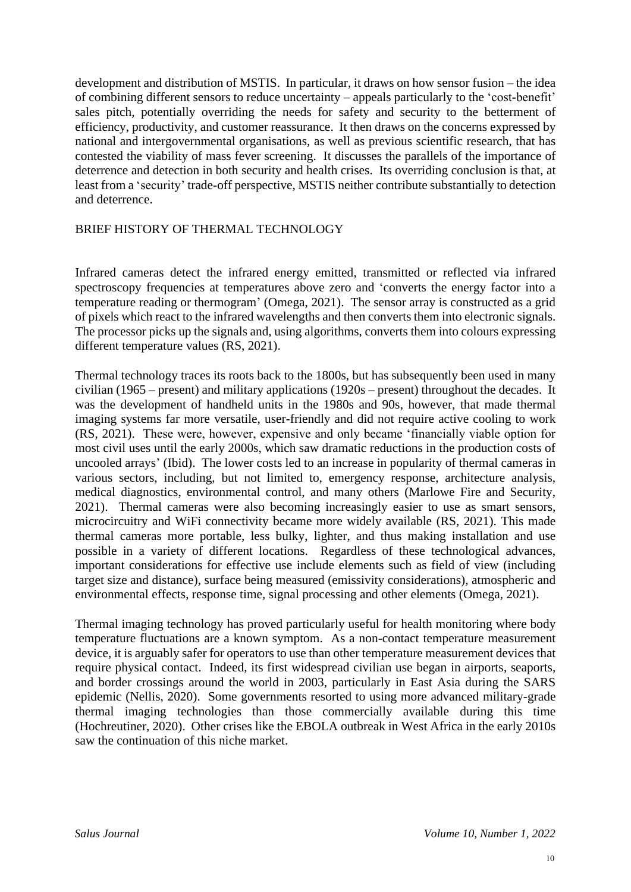development and distribution of MSTIS. In particular, it draws on how sensor fusion – the idea of combining different sensors to reduce uncertainty – appeals particularly to the 'cost-benefit' sales pitch, potentially overriding the needs for safety and security to the betterment of efficiency, productivity, and customer reassurance. It then draws on the concerns expressed by national and intergovernmental organisations, as well as previous scientific research, that has contested the viability of mass fever screening. It discusses the parallels of the importance of deterrence and detection in both security and health crises. Its overriding conclusion is that, at least from a 'security' trade-off perspective, MSTIS neither contribute substantially to detection and deterrence.

### BRIEF HISTORY OF THERMAL TECHNOLOGY

Infrared cameras detect the infrared energy emitted, transmitted or reflected via infrared spectroscopy frequencies at temperatures above zero and 'converts the energy factor into a temperature reading or thermogram' (Omega, 2021). The sensor array is constructed as a grid of pixels which react to the infrared wavelengths and then converts them into electronic signals. The processor picks up the signals and, using algorithms, converts them into colours expressing different temperature values (RS, 2021).

Thermal technology traces its roots back to the 1800s, but has subsequently been used in many civilian (1965 – present) and military applications (1920s – present) throughout the decades. It was the development of handheld units in the 1980s and 90s, however, that made thermal imaging systems far more versatile, user-friendly and did not require active cooling to work (RS, 2021). These were, however, expensive and only became 'financially viable option for most civil uses until the early 2000s, which saw dramatic reductions in the production costs of uncooled arrays' (Ibid). The lower costs led to an increase in popularity of thermal cameras in various sectors, including, but not limited to, emergency response, architecture analysis, medical diagnostics, environmental control, and many others (Marlowe Fire and Security, 2021). Thermal cameras were also becoming increasingly easier to use as smart sensors, microcircuitry and WiFi connectivity became more widely available (RS, 2021). This made thermal cameras more portable, less bulky, lighter, and thus making installation and use possible in a variety of different locations. Regardless of these technological advances, important considerations for effective use include elements such as field of view (including target size and distance), surface being measured (emissivity considerations), atmospheric and environmental effects, response time, signal processing and other elements (Omega, 2021).

Thermal imaging technology has proved particularly useful for health monitoring where body temperature fluctuations are a known symptom. As a non-contact temperature measurement device, it is arguably safer for operators to use than other temperature measurement devices that require physical contact. Indeed, its first widespread civilian use began in airports, seaports, and border crossings around the world in 2003, particularly in East Asia during the SARS epidemic (Nellis, 2020). Some governments resorted to using more advanced military-grade thermal imaging technologies than those commercially available during this time (Hochreutiner, 2020). Other crises like the EBOLA outbreak in West Africa in the early 2010s saw the continuation of this niche market.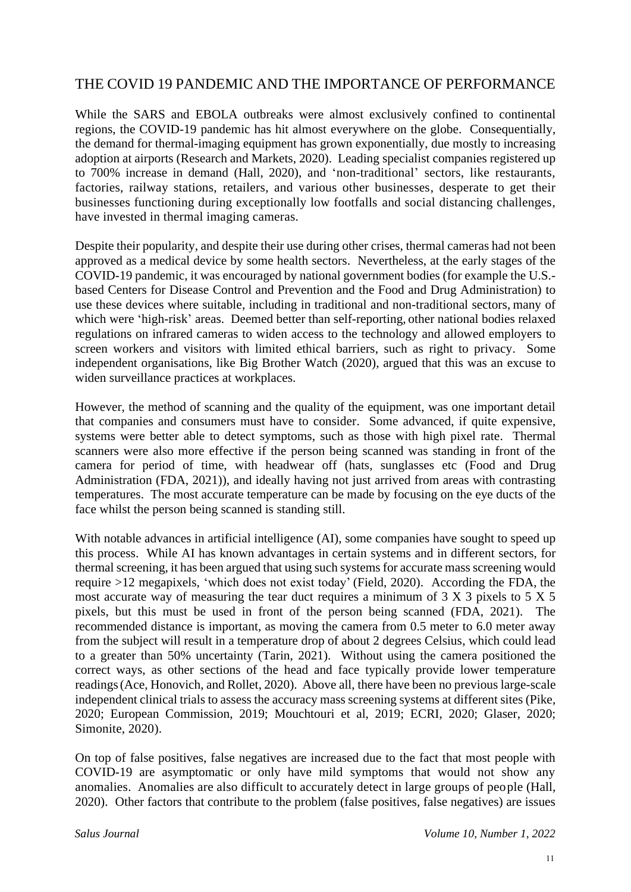# THE COVID 19 PANDEMIC AND THE IMPORTANCE OF PERFORMANCE

While the SARS and EBOLA outbreaks were almost exclusively confined to continental regions, the COVID-19 pandemic has hit almost everywhere on the globe. Consequentially, the demand for thermal-imaging equipment has grown exponentially, due mostly to increasing adoption at airports (Research and Markets, 2020). Leading specialist companies registered up to 700% increase in demand (Hall, 2020), and 'non-traditional' sectors, like restaurants, factories, railway stations, retailers, and various other businesses, desperate to get their businesses functioning during exceptionally low footfalls and social distancing challenges, have invested in thermal imaging cameras.

Despite their popularity, and despite their use during other crises, thermal cameras had not been approved as a medical device by some health sectors. Nevertheless, at the early stages of the COVID-19 pandemic, it was encouraged by national government bodies (for example the U.S. based Centers for Disease Control and Prevention and the Food and Drug Administration) to use these devices where suitable, including in traditional and non-traditional sectors, many of which were 'high-risk' areas. Deemed better than self-reporting, other national bodies relaxed regulations on infrared cameras to widen access to the technology and allowed employers to screen workers and visitors with limited ethical barriers, such as right to privacy. Some independent organisations, like Big Brother Watch (2020), argued that this was an excuse to widen surveillance practices at workplaces.

However, the method of scanning and the quality of the equipment, was one important detail that companies and consumers must have to consider. Some advanced, if quite expensive, systems were better able to detect symptoms, such as those with high pixel rate. Thermal scanners were also more effective if the person being scanned was standing in front of the camera for period of time, with headwear off (hats, sunglasses etc (Food and Drug Administration (FDA, 2021)), and ideally having not just arrived from areas with contrasting temperatures. The most accurate temperature can be made by focusing on the eye ducts of the face whilst the person being scanned is standing still.

With notable advances in artificial intelligence (AI), some companies have sought to speed up this process. While AI has known advantages in certain systems and in different sectors, for thermal screening, it has been argued that using such systems for accurate mass screening would require >12 megapixels, 'which does not exist today' (Field, 2020). According the FDA, the most accurate way of measuring the tear duct requires a minimum of 3 X 3 pixels to 5 X 5 pixels, but this must be used in front of the person being scanned (FDA, 2021). The recommended distance is important, as moving the camera from 0.5 meter to 6.0 meter away from the subject will result in a temperature drop of about 2 degrees Celsius, which could lead to a greater than 50% uncertainty (Tarin, 2021). Without using the camera positioned the correct ways, as other sections of the head and face typically provide lower temperature readings(Ace, Honovich, and Rollet, 2020). Above all, there have been no previous large-scale independent clinical trials to assess the accuracy mass screening systems at different sites (Pike, 2020; European Commission, 2019; Mouchtouri et al, 2019; ECRI, 2020; Glaser, 2020; Simonite, 2020).

On top of false positives, false negatives are increased due to the fact that most people with COVID-19 are asymptomatic or only have mild symptoms that would not show any anomalies. Anomalies are also difficult to accurately detect in large groups of people (Hall, 2020). Other factors that contribute to the problem (false positives, false negatives) are issues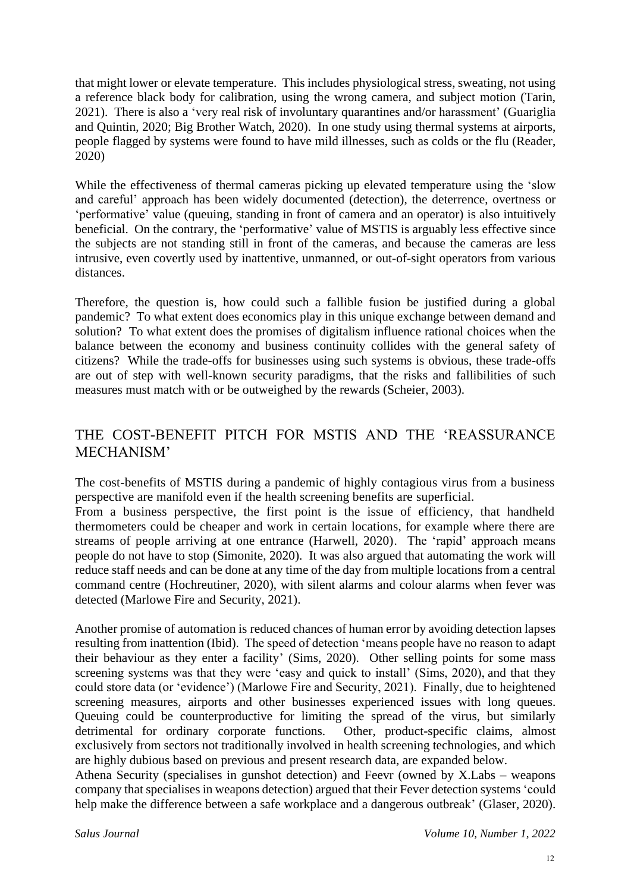that might lower or elevate temperature. This includes physiological stress, sweating, not using a reference black body for calibration, using the wrong camera, and subject motion (Tarin, 2021). There is also a 'very real risk of involuntary quarantines and/or harassment' (Guariglia and Quintin, 2020; Big Brother Watch, 2020). In one study using thermal systems at airports, people flagged by systems were found to have mild illnesses, such as colds or the flu (Reader, 2020)

While the effectiveness of thermal cameras picking up elevated temperature using the 'slow and careful' approach has been widely documented (detection), the deterrence, overtness or 'performative' value (queuing, standing in front of camera and an operator) is also intuitively beneficial. On the contrary, the 'performative' value of MSTIS is arguably less effective since the subjects are not standing still in front of the cameras, and because the cameras are less intrusive, even covertly used by inattentive, unmanned, or out-of-sight operators from various distances.

Therefore, the question is, how could such a fallible fusion be justified during a global pandemic? To what extent does economics play in this unique exchange between demand and solution? To what extent does the promises of digitalism influence rational choices when the balance between the economy and business continuity collides with the general safety of citizens? While the trade-offs for businesses using such systems is obvious, these trade-offs are out of step with well-known security paradigms, that the risks and fallibilities of such measures must match with or be outweighed by the rewards (Scheier, 2003).

# THE COST-BENEFIT PITCH FOR MSTIS AND THE 'REASSURANCE MECHANISM'

The cost-benefits of MSTIS during a pandemic of highly contagious virus from a business perspective are manifold even if the health screening benefits are superficial.

From a business perspective, the first point is the issue of efficiency, that handheld thermometers could be cheaper and work in certain locations, for example where there are streams of people arriving at one entrance (Harwell, 2020). The 'rapid' approach means people do not have to stop (Simonite, 2020). It was also argued that automating the work will reduce staff needs and can be done at any time of the day from multiple locations from a central command centre (Hochreutiner, 2020), with silent alarms and colour alarms when fever was detected (Marlowe Fire and Security, 2021).

Another promise of automation is reduced chances of human error by avoiding detection lapses resulting from inattention (Ibid). The speed of detection 'means people have no reason to adapt their behaviour as they enter a facility' (Sims, 2020). Other selling points for some mass screening systems was that they were 'easy and quick to install' (Sims, 2020), and that they could store data (or 'evidence') (Marlowe Fire and Security, 2021). Finally, due to heightened screening measures, airports and other businesses experienced issues with long queues. Queuing could be counterproductive for limiting the spread of the virus, but similarly detrimental for ordinary corporate functions. Other, product-specific claims, almost exclusively from sectors not traditionally involved in health screening technologies, and which are highly dubious based on previous and present research data, are expanded below.

Athena Security (specialises in gunshot detection) and Feevr (owned by X.Labs – weapons company that specialises in weapons detection) argued that their Fever detection systems 'could help make the difference between a safe workplace and a dangerous outbreak' (Glaser, 2020).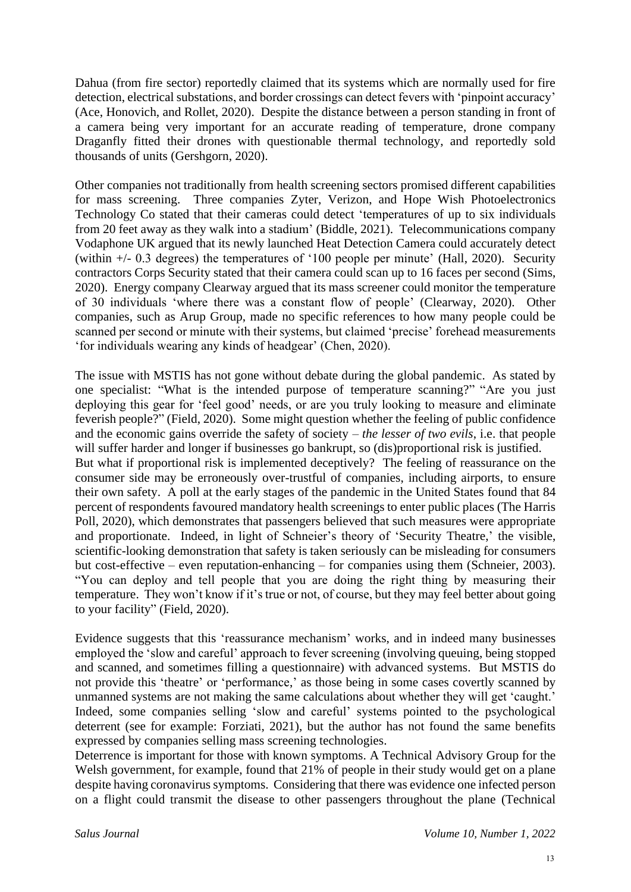Dahua (from fire sector) reportedly claimed that its systems which are normally used for fire detection, electrical substations, and border crossings can detect fevers with 'pinpoint accuracy' (Ace, Honovich, and Rollet, 2020). Despite the distance between a person standing in front of a camera being very important for an accurate reading of temperature, drone company Draganfly fitted their drones with questionable thermal technology, and reportedly sold thousands of units (Gershgorn, 2020).

Other companies not traditionally from health screening sectors promised different capabilities for mass screening. Three companies Zyter, Verizon, and Hope Wish Photoelectronics Technology Co stated that their cameras could detect 'temperatures of up to six individuals from 20 feet away as they walk into a stadium' (Biddle, 2021). Telecommunications company Vodaphone UK argued that its newly launched Heat Detection Camera could accurately detect (within +/- 0.3 degrees) the temperatures of '100 people per minute' (Hall, 2020). Security contractors Corps Security stated that their camera could scan up to 16 faces per second (Sims, 2020). Energy company Clearway argued that its mass screener could monitor the temperature of 30 individuals 'where there was a constant flow of people' (Clearway, 2020). Other companies, such as Arup Group, made no specific references to how many people could be scanned per second or minute with their systems, but claimed 'precise' forehead measurements 'for individuals wearing any kinds of headgear' (Chen, 2020).

The issue with MSTIS has not gone without debate during the global pandemic. As stated by one specialist: "What is the intended purpose of temperature scanning?" "Are you just deploying this gear for 'feel good' needs, or are you truly looking to measure and eliminate feverish people?" (Field, 2020). Some might question whether the feeling of public confidence and the economic gains override the safety of society – *the lesser of two evils*, i.e. that people will suffer harder and longer if businesses go bankrupt, so (dis)proportional risk is justified. But what if proportional risk is implemented deceptively? The feeling of reassurance on the consumer side may be erroneously over-trustful of companies, including airports, to ensure their own safety. A poll at the early stages of the pandemic in the United States found that 84 percent of respondents favoured mandatory health screenings to enter public places (The Harris Poll, 2020), which demonstrates that passengers believed that such measures were appropriate and proportionate. Indeed, in light of Schneier's theory of 'Security Theatre,' the visible, scientific-looking demonstration that safety is taken seriously can be misleading for consumers but cost-effective – even reputation-enhancing – for companies using them (Schneier, 2003). "You can deploy and tell people that you are doing the right thing by measuring their temperature. They won't know if it's true or not, of course, but they may feel better about going to your facility" (Field, 2020).

Evidence suggests that this 'reassurance mechanism' works, and in indeed many businesses employed the 'slow and careful' approach to fever screening (involving queuing, being stopped and scanned, and sometimes filling a questionnaire) with advanced systems. But MSTIS do not provide this 'theatre' or 'performance,' as those being in some cases covertly scanned by unmanned systems are not making the same calculations about whether they will get 'caught.' Indeed, some companies selling 'slow and careful' systems pointed to the psychological deterrent (see for example: Forziati, 2021), but the author has not found the same benefits expressed by companies selling mass screening technologies.

Deterrence is important for those with known symptoms. A Technical Advisory Group for the Welsh government, for example, found that 21% of people in their study would get on a plane despite having coronavirus symptoms. Considering that there was evidence one infected person on a flight could transmit the disease to other passengers throughout the plane (Technical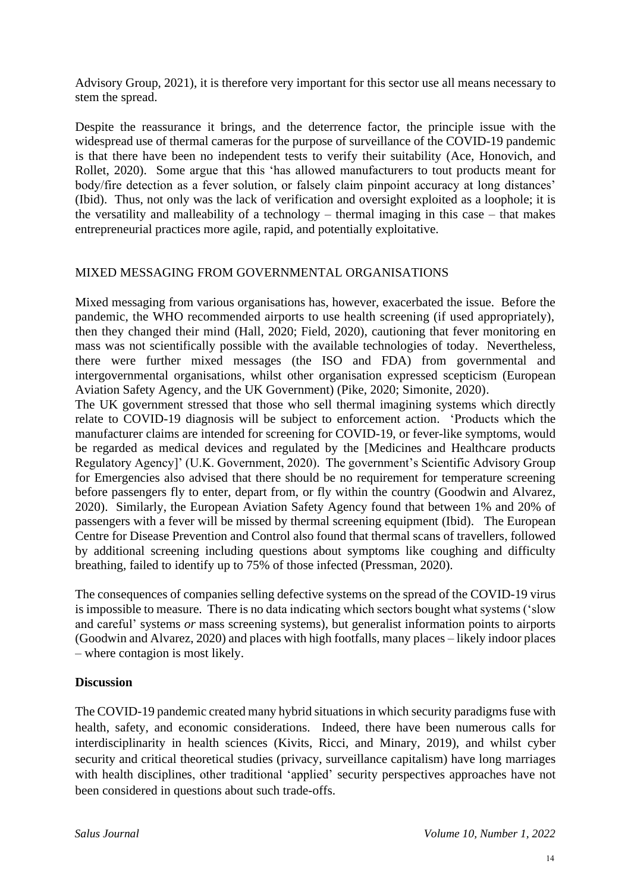Advisory Group, 2021), it is therefore very important for this sector use all means necessary to stem the spread.

Despite the reassurance it brings, and the deterrence factor, the principle issue with the widespread use of thermal cameras for the purpose of surveillance of the COVID-19 pandemic is that there have been no independent tests to verify their suitability (Ace, Honovich, and Rollet, 2020). Some argue that this 'has allowed manufacturers to tout products meant for body/fire detection as a fever solution, or falsely claim pinpoint accuracy at long distances' (Ibid). Thus, not only was the lack of verification and oversight exploited as a loophole; it is the versatility and malleability of a technology – thermal imaging in this case – that makes entrepreneurial practices more agile, rapid, and potentially exploitative.

## MIXED MESSAGING FROM GOVERNMENTAL ORGANISATIONS

Mixed messaging from various organisations has, however, exacerbated the issue. Before the pandemic, the WHO recommended airports to use health screening (if used appropriately), then they changed their mind (Hall, 2020; Field, 2020), cautioning that fever monitoring en mass was not scientifically possible with the available technologies of today. Nevertheless, there were further mixed messages (the ISO and FDA) from governmental and intergovernmental organisations, whilst other organisation expressed scepticism (European Aviation Safety Agency, and the UK Government) (Pike, 2020; Simonite, 2020).

The UK government stressed that those who sell thermal imagining systems which directly relate to COVID-19 diagnosis will be subject to enforcement action. 'Products which the manufacturer claims are intended for screening for COVID-19, or fever-like symptoms, would be regarded as medical devices and regulated by the [Medicines and Healthcare products Regulatory Agency]' (U.K. Government, 2020). The government's Scientific Advisory Group for Emergencies also advised that there should be no requirement for temperature screening before passengers fly to enter, depart from, or fly within the country (Goodwin and Alvarez, 2020). Similarly, the European Aviation Safety Agency found that between 1% and 20% of passengers with a fever will be missed by thermal screening equipment (Ibid). The European Centre for Disease Prevention and Control also found that thermal scans of travellers, followed by additional screening including questions about symptoms like coughing and difficulty breathing, failed to identify up to 75% of those infected (Pressman, 2020).

The consequences of companies selling defective systems on the spread of the COVID-19 virus is impossible to measure. There is no data indicating which sectors bought what systems ('slow and careful' systems *or* mass screening systems), but generalist information points to airports (Goodwin and Alvarez, 2020) and places with high footfalls, many places – likely indoor places – where contagion is most likely.

## **Discussion**

The COVID-19 pandemic created many hybrid situations in which security paradigms fuse with health, safety, and economic considerations. Indeed, there have been numerous calls for interdisciplinarity in health sciences (Kivits, Ricci, and Minary, 2019), and whilst cyber security and critical theoretical studies (privacy, surveillance capitalism) have long marriages with health disciplines, other traditional 'applied' security perspectives approaches have not been considered in questions about such trade-offs.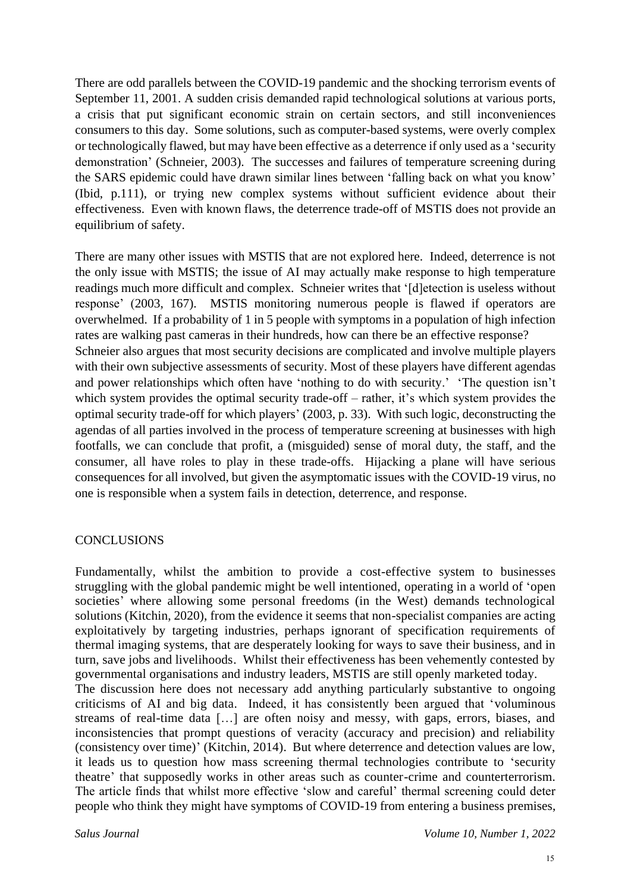There are odd parallels between the COVID-19 pandemic and the shocking terrorism events of September 11, 2001. A sudden crisis demanded rapid technological solutions at various ports, a crisis that put significant economic strain on certain sectors, and still inconveniences consumers to this day. Some solutions, such as computer-based systems, were overly complex or technologically flawed, but may have been effective as a deterrence if only used as a 'security demonstration' (Schneier, 2003). The successes and failures of temperature screening during the SARS epidemic could have drawn similar lines between 'falling back on what you know' (Ibid, p.111), or trying new complex systems without sufficient evidence about their effectiveness. Even with known flaws, the deterrence trade-off of MSTIS does not provide an equilibrium of safety.

There are many other issues with MSTIS that are not explored here. Indeed, deterrence is not the only issue with MSTIS; the issue of AI may actually make response to high temperature readings much more difficult and complex. Schneier writes that '[d]etection is useless without response' (2003, 167). MSTIS monitoring numerous people is flawed if operators are overwhelmed. If a probability of 1 in 5 people with symptoms in a population of high infection rates are walking past cameras in their hundreds, how can there be an effective response? Schneier also argues that most security decisions are complicated and involve multiple players with their own subjective assessments of security. Most of these players have different agendas and power relationships which often have 'nothing to do with security.' 'The question isn't which system provides the optimal security trade-off – rather, it's which system provides the optimal security trade-off for which players' (2003, p. 33). With such logic, deconstructing the agendas of all parties involved in the process of temperature screening at businesses with high footfalls, we can conclude that profit, a (misguided) sense of moral duty, the staff, and the consumer, all have roles to play in these trade-offs. Hijacking a plane will have serious consequences for all involved, but given the asymptomatic issues with the COVID-19 virus, no one is responsible when a system fails in detection, deterrence, and response.

### **CONCLUSIONS**

Fundamentally, whilst the ambition to provide a cost-effective system to businesses struggling with the global pandemic might be well intentioned, operating in a world of 'open societies' where allowing some personal freedoms (in the West) demands technological solutions (Kitchin, 2020), from the evidence it seems that non-specialist companies are acting exploitatively by targeting industries, perhaps ignorant of specification requirements of thermal imaging systems, that are desperately looking for ways to save their business, and in turn, save jobs and livelihoods. Whilst their effectiveness has been vehemently contested by governmental organisations and industry leaders, MSTIS are still openly marketed today. The discussion here does not necessary add anything particularly substantive to ongoing criticisms of AI and big data. Indeed, it has consistently been argued that 'voluminous streams of real-time data […] are often noisy and messy, with gaps, errors, biases, and inconsistencies that prompt questions of veracity (accuracy and precision) and reliability (consistency over time)' (Kitchin, 2014). But where deterrence and detection values are low, it leads us to question how mass screening thermal technologies contribute to 'security theatre' that supposedly works in other areas such as counter-crime and counterterrorism. The article finds that whilst more effective 'slow and careful' thermal screening could deter people who think they might have symptoms of COVID-19 from entering a business premises,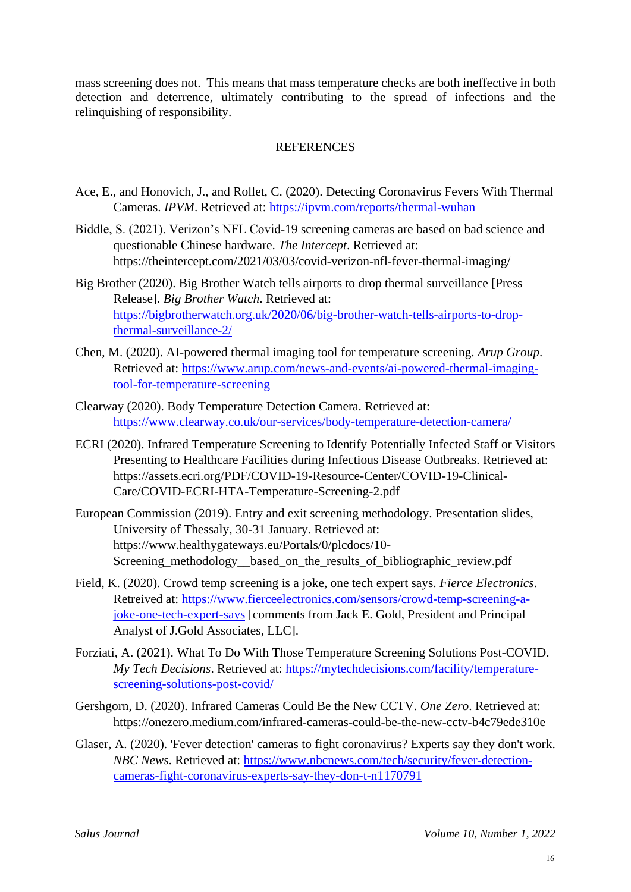mass screening does not. This means that mass temperature checks are both ineffective in both detection and deterrence, ultimately contributing to the spread of infections and the relinquishing of responsibility.

### **REFERENCES**

- Ace, E., and Honovich, J., and Rollet, C. (2020). Detecting Coronavirus Fevers With Thermal Cameras. *IPVM*. Retrieved at:<https://ipvm.com/reports/thermal-wuhan>
- Biddle, S. (2021). Verizon's NFL Covid-19 screening cameras are based on bad science and questionable Chinese hardware. *The Intercept*. Retrieved at: https://theintercept.com/2021/03/03/covid-verizon-nfl-fever-thermal-imaging/
- Big Brother (2020). Big Brother Watch tells airports to drop thermal surveillance [Press Release]. *Big Brother Watch*. Retrieved at: [https://bigbrotherwatch.org.uk/2020/06/big-brother-watch-tells-airports-to-drop](https://bigbrotherwatch.org.uk/2020/06/big-brother-watch-tells-airports-to-drop-thermal-surveillance-2/)[thermal-surveillance-2/](https://bigbrotherwatch.org.uk/2020/06/big-brother-watch-tells-airports-to-drop-thermal-surveillance-2/)
- Chen, M. (2020). AI-powered thermal imaging tool for temperature screening. *Arup Group*. Retrieved at: [https://www.arup.com/news-and-events/ai-powered-thermal-imaging](https://www.arup.com/news-and-events/ai-powered-thermal-imaging-tool-for-temperature-screening)[tool-for-temperature-screening](https://www.arup.com/news-and-events/ai-powered-thermal-imaging-tool-for-temperature-screening)
- Clearway (2020). Body Temperature Detection Camera. Retrieved at: <https://www.clearway.co.uk/our-services/body-temperature-detection-camera/>
- ECRI (2020). Infrared Temperature Screening to Identify Potentially Infected Staff or Visitors Presenting to Healthcare Facilities during Infectious Disease Outbreaks. Retrieved at: https://assets.ecri.org/PDF/COVID-19-Resource-Center/COVID-19-Clinical-Care/COVID-ECRI-HTA-Temperature-Screening-2.pdf
- European Commission (2019). Entry and exit screening methodology. Presentation slides, University of Thessaly, 30-31 January. Retrieved at: https://www.healthygateways.eu/Portals/0/plcdocs/10- Screening\_methodology\_\_based\_on\_the\_results\_of\_bibliographic\_review.pdf
- Field, K. (2020). Crowd temp screening is a joke, one tech expert says. *Fierce Electronics*. Retreived at: [https://www.fierceelectronics.com/sensors/crowd-temp-screening-a](https://www.fierceelectronics.com/sensors/crowd-temp-screening-a-joke-one-tech-expert-says)[joke-one-tech-expert-says](https://www.fierceelectronics.com/sensors/crowd-temp-screening-a-joke-one-tech-expert-says) [comments from Jack E. Gold, President and Principal Analyst of J.Gold Associates, LLC].
- Forziati, A. (2021). What To Do With Those Temperature Screening Solutions Post-COVID. *My Tech Decisions*. Retrieved at: [https://mytechdecisions.com/facility/temperature](https://mytechdecisions.com/facility/temperature-screening-solutions-post-covid/)[screening-solutions-post-covid/](https://mytechdecisions.com/facility/temperature-screening-solutions-post-covid/)
- Gershgorn, D. (2020). Infrared Cameras Could Be the New CCTV. *One Zero*. Retrieved at: https://onezero.medium.com/infrared-cameras-could-be-the-new-cctv-b4c79ede310e
- Glaser, A. (2020). 'Fever detection' cameras to fight coronavirus? Experts say they don't work. *NBC News*. Retrieved at: [https://www.nbcnews.com/tech/security/fever-detection](https://www.nbcnews.com/tech/security/fever-detection-cameras-fight-coronavirus-experts-say-they-don-t-n1170791)[cameras-fight-coronavirus-experts-say-they-don-t-n1170791](https://www.nbcnews.com/tech/security/fever-detection-cameras-fight-coronavirus-experts-say-they-don-t-n1170791)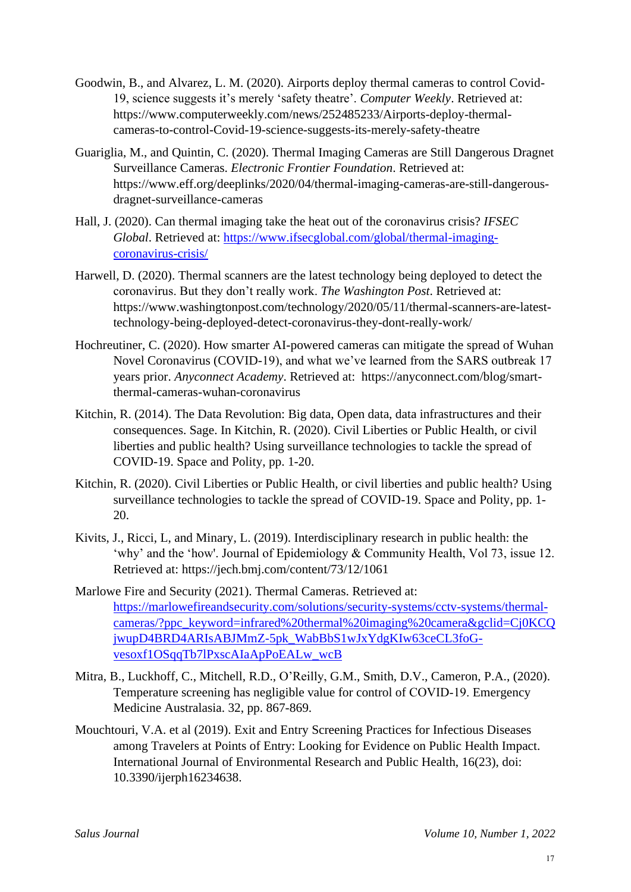- Goodwin, B., and Alvarez, L. M. (2020). Airports deploy thermal cameras to control Covid-19, science suggests it's merely 'safety theatre'. *Computer Weekly*. Retrieved at: https://www.computerweekly.com/news/252485233/Airports-deploy-thermalcameras-to-control-Covid-19-science-suggests-its-merely-safety-theatre
- Guariglia, M., and Quintin, C. (2020). Thermal Imaging Cameras are Still Dangerous Dragnet Surveillance Cameras. *Electronic Frontier Foundation*. Retrieved at: https://www.eff.org/deeplinks/2020/04/thermal-imaging-cameras-are-still-dangerousdragnet-surveillance-cameras
- Hall, J. (2020). Can thermal imaging take the heat out of the coronavirus crisis? *IFSEC Global*. Retrieved at: [https://www.ifsecglobal.com/global/thermal-imaging](https://www.ifsecglobal.com/global/thermal-imaging-coronavirus-crisis/)[coronavirus-crisis/](https://www.ifsecglobal.com/global/thermal-imaging-coronavirus-crisis/)
- Harwell, D. (2020). Thermal scanners are the latest technology being deployed to detect the coronavirus. But they don't really work. *The Washington Post*. Retrieved at: https://www.washingtonpost.com/technology/2020/05/11/thermal-scanners-are-latesttechnology-being-deployed-detect-coronavirus-they-dont-really-work/
- Hochreutiner, C. (2020). How smarter AI-powered cameras can mitigate the spread of Wuhan Novel Coronavirus (COVID-19), and what we've learned from the SARS outbreak 17 years prior. *Anyconnect Academy*. Retrieved at: https://anyconnect.com/blog/smartthermal-cameras-wuhan-coronavirus
- Kitchin, R. (2014). The Data Revolution: Big data, Open data, data infrastructures and their consequences. Sage. In Kitchin, R. (2020). Civil Liberties or Public Health, or civil liberties and public health? Using surveillance technologies to tackle the spread of COVID-19. Space and Polity, pp. 1-20.
- Kitchin, R. (2020). Civil Liberties or Public Health, or civil liberties and public health? Using surveillance technologies to tackle the spread of COVID-19. Space and Polity, pp. 1- 20.
- Kivits, J., Ricci, L, and Minary, L. (2019). Interdisciplinary research in public health: the 'why' and the 'how'. Journal of Epidemiology & Community Health, Vol 73, issue 12. Retrieved at: https://jech.bmj.com/content/73/12/1061
- Marlowe Fire and Security (2021). Thermal Cameras. Retrieved at: [https://marlowefireandsecurity.com/solutions/security-systems/cctv-systems/thermal](https://marlowefireandsecurity.com/solutions/security-systems/cctv-systems/thermal-cameras/?ppc_keyword=infrared%20thermal%20imaging%20camera&gclid=Cj0KCQjwupD4BRD4ARIsABJMmZ-5pk_WabBbS1wJxYdgKIw63ceCL3foG-vesoxf1OSqqTb7lPxscAIaApPoEALw_wcB)[cameras/?ppc\\_keyword=infrared%20thermal%20imaging%20camera&gclid=Cj0KCQ](https://marlowefireandsecurity.com/solutions/security-systems/cctv-systems/thermal-cameras/?ppc_keyword=infrared%20thermal%20imaging%20camera&gclid=Cj0KCQjwupD4BRD4ARIsABJMmZ-5pk_WabBbS1wJxYdgKIw63ceCL3foG-vesoxf1OSqqTb7lPxscAIaApPoEALw_wcB) [jwupD4BRD4ARIsABJMmZ-5pk\\_WabBbS1wJxYdgKIw63ceCL3foG](https://marlowefireandsecurity.com/solutions/security-systems/cctv-systems/thermal-cameras/?ppc_keyword=infrared%20thermal%20imaging%20camera&gclid=Cj0KCQjwupD4BRD4ARIsABJMmZ-5pk_WabBbS1wJxYdgKIw63ceCL3foG-vesoxf1OSqqTb7lPxscAIaApPoEALw_wcB)[vesoxf1OSqqTb7lPxscAIaApPoEALw\\_wcB](https://marlowefireandsecurity.com/solutions/security-systems/cctv-systems/thermal-cameras/?ppc_keyword=infrared%20thermal%20imaging%20camera&gclid=Cj0KCQjwupD4BRD4ARIsABJMmZ-5pk_WabBbS1wJxYdgKIw63ceCL3foG-vesoxf1OSqqTb7lPxscAIaApPoEALw_wcB)
- Mitra, B., Luckhoff, C., Mitchell, R.D., O'Reilly, G.M., Smith, D.V., Cameron, P.A., (2020). Temperature screening has negligible value for control of COVID‐19. Emergency Medicine Australasia. 32, pp. 867-869.
- Mouchtouri, V.A. et al (2019). Exit and Entry Screening Practices for Infectious Diseases among Travelers at Points of Entry: Looking for Evidence on Public Health Impact. International Journal of Environmental Research and Public Health, 16(23), doi: 10.3390/ijerph16234638.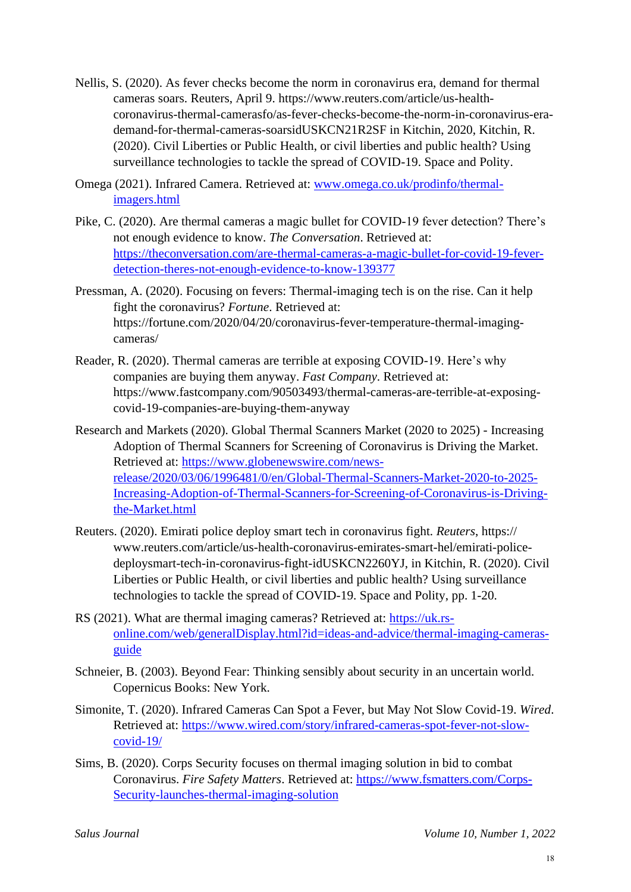- Nellis, S. (2020). As fever checks become the norm in coronavirus era, demand for thermal cameras soars. Reuters, April 9. https://www.reuters.com/article/us-healthcoronavirus-thermal-camerasfo/as-fever-checks-become-the-norm-in-coronavirus-erademand-for-thermal-cameras-soarsidUSKCN21R2SF in Kitchin, 2020, Kitchin, R. (2020). Civil Liberties or Public Health, or civil liberties and public health? Using surveillance technologies to tackle the spread of COVID-19. Space and Polity.
- Omega (2021). Infrared Camera. Retrieved at: [www.omega.co.uk/prodinfo/thermal](http://www.omega.co.uk/prodinfo/thermal-imagers.html)[imagers.html](http://www.omega.co.uk/prodinfo/thermal-imagers.html)
- Pike, C. (2020). Are thermal cameras a magic bullet for COVID-19 fever detection? There's not enough evidence to know. *The Conversation*. Retrieved at: [https://theconversation.com/are-thermal-cameras-a-magic-bullet-for-covid-19-fever](https://theconversation.com/are-thermal-cameras-a-magic-bullet-for-covid-19-fever-detection-theres-not-enough-evidence-to-know-139377)[detection-theres-not-enough-evidence-to-know-139377](https://theconversation.com/are-thermal-cameras-a-magic-bullet-for-covid-19-fever-detection-theres-not-enough-evidence-to-know-139377)
- Pressman, A. (2020). Focusing on fevers: Thermal-imaging tech is on the rise. Can it help fight the coronavirus? *Fortune*. Retrieved at: https://fortune.com/2020/04/20/coronavirus-fever-temperature-thermal-imagingcameras/
- Reader, R. (2020). Thermal cameras are terrible at exposing COVID-19. Here's why companies are buying them anyway. *Fast Company*. Retrieved at: https://www.fastcompany.com/90503493/thermal-cameras-are-terrible-at-exposingcovid-19-companies-are-buying-them-anyway
- Research and Markets (2020). Global Thermal Scanners Market (2020 to 2025) Increasing Adoption of Thermal Scanners for Screening of Coronavirus is Driving the Market. Retrieved at: [https://www.globenewswire.com/news](https://www.globenewswire.com/news-release/2020/03/06/1996481/0/en/Global-Thermal-Scanners-Market-2020-to-2025-Increasing-Adoption-of-Thermal-Scanners-for-Screening-of-Coronavirus-is-Driving-the-Market.html)[release/2020/03/06/1996481/0/en/Global-Thermal-Scanners-Market-2020-to-2025-](https://www.globenewswire.com/news-release/2020/03/06/1996481/0/en/Global-Thermal-Scanners-Market-2020-to-2025-Increasing-Adoption-of-Thermal-Scanners-for-Screening-of-Coronavirus-is-Driving-the-Market.html) [Increasing-Adoption-of-Thermal-Scanners-for-Screening-of-Coronavirus-is-Driving](https://www.globenewswire.com/news-release/2020/03/06/1996481/0/en/Global-Thermal-Scanners-Market-2020-to-2025-Increasing-Adoption-of-Thermal-Scanners-for-Screening-of-Coronavirus-is-Driving-the-Market.html)[the-Market.html](https://www.globenewswire.com/news-release/2020/03/06/1996481/0/en/Global-Thermal-Scanners-Market-2020-to-2025-Increasing-Adoption-of-Thermal-Scanners-for-Screening-of-Coronavirus-is-Driving-the-Market.html)
- Reuters. (2020). Emirati police deploy smart tech in coronavirus fight. *Reuters*, https:// www.reuters.com/article/us-health-coronavirus-emirates-smart-hel/emirati-policedeploysmart-tech-in-coronavirus-fight-idUSKCN2260YJ, in Kitchin, R. (2020). Civil Liberties or Public Health, or civil liberties and public health? Using surveillance technologies to tackle the spread of COVID-19. Space and Polity, pp. 1-20.
- RS (2021). What are thermal imaging cameras? Retrieved at: [https://uk.rs](https://uk.rs-online.com/web/generalDisplay.html?id=ideas-and-advice/thermal-imaging-cameras-guide)[online.com/web/generalDisplay.html?id=ideas-and-advice/thermal-imaging-cameras](https://uk.rs-online.com/web/generalDisplay.html?id=ideas-and-advice/thermal-imaging-cameras-guide)[guide](https://uk.rs-online.com/web/generalDisplay.html?id=ideas-and-advice/thermal-imaging-cameras-guide)
- Schneier, B. (2003). Beyond Fear: Thinking sensibly about security in an uncertain world. Copernicus Books: New York.
- Simonite, T. (2020). Infrared Cameras Can Spot a Fever, but May Not Slow Covid-19. *Wired*. Retrieved at: [https://www.wired.com/story/infrared-cameras-spot-fever-not-slow](https://www.wired.com/story/infrared-cameras-spot-fever-not-slow-covid-19/)[covid-19/](https://www.wired.com/story/infrared-cameras-spot-fever-not-slow-covid-19/)
- Sims, B. (2020). Corps Security focuses on thermal imaging solution in bid to combat Coronavirus. *Fire Safety Matters*. Retrieved at: [https://www.fsmatters.com/Corps-](https://www.fsmatters.com/Corps-Security-launches-thermal-imaging-solution)[Security-launches-thermal-imaging-solution](https://www.fsmatters.com/Corps-Security-launches-thermal-imaging-solution)